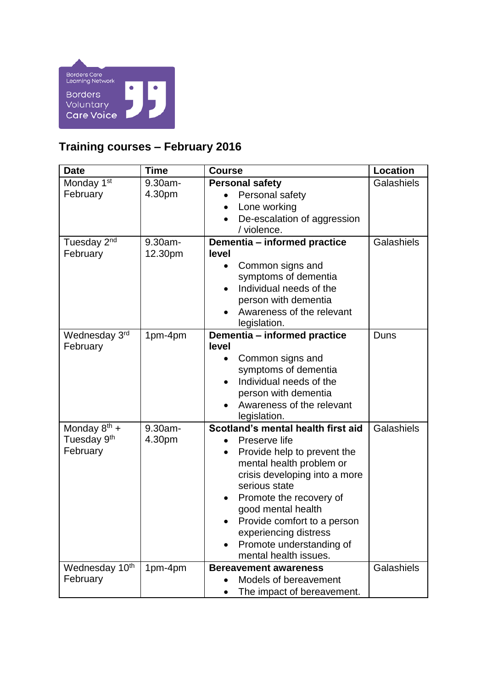

## **Training courses – February 2016**

| <b>Date</b>                                              | <b>Time</b>        | <b>Course</b>                                                                                                                                                                                                                                                                                                                  | <b>Location</b> |
|----------------------------------------------------------|--------------------|--------------------------------------------------------------------------------------------------------------------------------------------------------------------------------------------------------------------------------------------------------------------------------------------------------------------------------|-----------------|
| Monday 1 <sup>st</sup><br>February                       | 9.30am-<br>4.30pm  | <b>Personal safety</b><br>Personal safety<br>Lone working<br>$\bullet$<br>De-escalation of aggression<br>$\bullet$<br>/ violence.                                                                                                                                                                                              | Galashiels      |
| Tuesday 2 <sup>nd</sup><br>February                      | 9.30am-<br>12.30pm | Dementia - informed practice<br>level<br>Common signs and<br>symptoms of dementia<br>Individual needs of the<br>person with dementia<br>Awareness of the relevant<br>legislation.                                                                                                                                              | Galashiels      |
| Wednesday 3rd<br>February                                | 1pm-4pm            | Dementia - informed practice<br>level<br>Common signs and<br>symptoms of dementia<br>Individual needs of the<br>person with dementia<br>Awareness of the relevant<br>legislation.                                                                                                                                              | Duns            |
| Monday $8^{th}$ +<br>Tuesday 9 <sup>th</sup><br>February | 9.30am-<br>4.30pm  | Scotland's mental health first aid<br>Preserve life<br>Provide help to prevent the<br>mental health problem or<br>crisis developing into a more<br>serious state<br>Promote the recovery of<br>good mental health<br>Provide comfort to a person<br>experiencing distress<br>Promote understanding of<br>mental health issues. | Galashiels      |
| Wednesday 10th<br>February                               | 1pm-4pm            | <b>Bereavement awareness</b><br>Models of bereavement<br>The impact of bereavement.                                                                                                                                                                                                                                            | Galashiels      |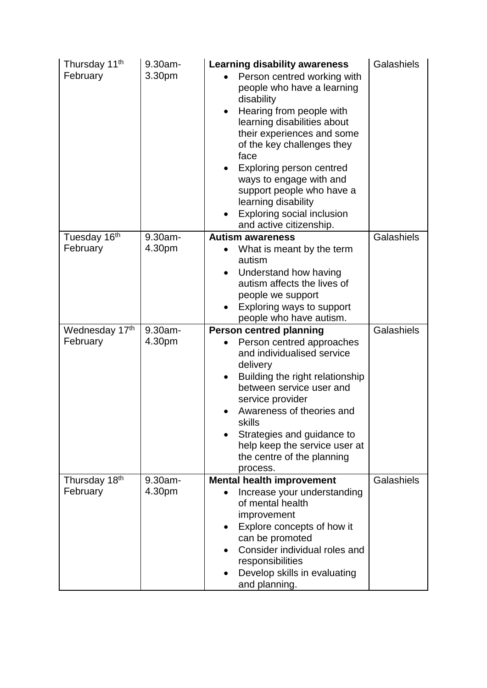| Thursday 11 <sup>th</sup><br>February | 9.30am-<br>3.30pm | <b>Learning disability awareness</b><br>Person centred working with<br>people who have a learning<br>disability<br>Hearing from people with<br>learning disabilities about<br>their experiences and some<br>of the key challenges they<br>face<br>Exploring person centred<br>ways to engage with and<br>support people who have a<br>learning disability<br><b>Exploring social inclusion</b><br>and active citizenship. | Galashiels |
|---------------------------------------|-------------------|---------------------------------------------------------------------------------------------------------------------------------------------------------------------------------------------------------------------------------------------------------------------------------------------------------------------------------------------------------------------------------------------------------------------------|------------|
| Tuesday 16th                          | 9.30am-           | <b>Autism awareness</b>                                                                                                                                                                                                                                                                                                                                                                                                   | Galashiels |
| February                              | 4.30pm            | What is meant by the term<br>autism<br>Understand how having<br>autism affects the lives of<br>people we support<br>Exploring ways to support<br>people who have autism.                                                                                                                                                                                                                                                  |            |
| Wednesday 17th                        | 9.30am-           | <b>Person centred planning</b>                                                                                                                                                                                                                                                                                                                                                                                            | Galashiels |
| February                              | 4.30pm            | Person centred approaches<br>and individualised service<br>delivery<br>Building the right relationship<br>$\bullet$<br>between service user and<br>service provider<br>Awareness of theories and<br>skills<br>Strategies and guidance to<br>help keep the service user at<br>the centre of the planning<br>process.                                                                                                       |            |
| Thursday 18th                         | $9.30am -$        | <b>Mental health improvement</b>                                                                                                                                                                                                                                                                                                                                                                                          | Galashiels |
| February                              | 4.30pm            | Increase your understanding<br>of mental health<br>improvement<br>Explore concepts of how it<br>can be promoted<br>Consider individual roles and<br>responsibilities<br>Develop skills in evaluating<br>and planning.                                                                                                                                                                                                     |            |